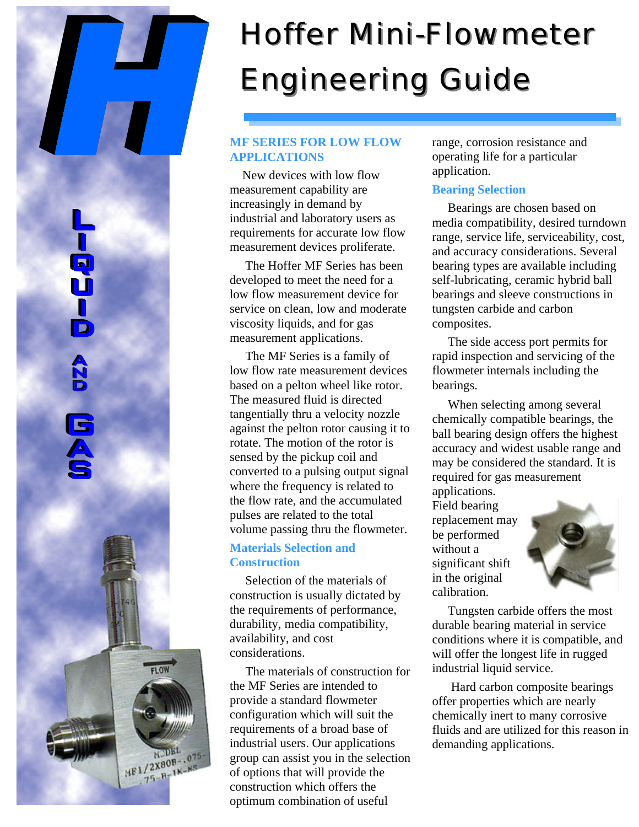# *Hoffer Mini-Flowmeter Engineering Guide*

# **MF SERIES FOR LOW FLOW APPLICATIONS**

 New devices with low flow measurement capability are increasingly in demand by industrial and laboratory users as requirements for accurate low flow measurement devices proliferate.

 The Hoffer MF Series has been developed to meet the need for a low flow measurement device for service on clean, low and moderate viscosity liquids, and for gas measurement applications.

 The MF Series is a family of low flow rate measurement devices based on a pelton wheel like rotor. The measured fluid is directed tangentially thru a velocity nozzle against the pelton rotor causing it to rotate. The motion of the rotor is sensed by the pickup coil and converted to a pulsing output signal where the frequency is related to the flow rate, and the accumulated pulses are related to the total volume passing thru the flowmeter.

## **Materials Selection and Construction**

 Selection of the materials of construction is usually dictated by the requirements of performance, durability, media compatibility, availability, and cost considerations.

 The materials of construction for the MF Series are intended to provide a standard flowmeter configuration which will suit the requirements of a broad base of industrial users. Our applications group can assist you in the selection of options that will provide the construction which offers the optimum combination of useful

 $MF1/2X80B-.075$ <br>HF1/2X80B-.075  $75 - R - 1N - N5$ 

range, corrosion resistance and operating life for a particular application.

### **Bearing Selection**

 Bearings are chosen based on media compatibility, desired turndown range, service life, serviceability, cost, and accuracy considerations. Several bearing types are available including self-lubricating, ceramic hybrid ball bearings and sleeve constructions in tungsten carbide and carbon composites.

 The side access port permits for rapid inspection and servicing of the flowmeter internals including the bearings.

 When selecting among several chemically compatible bearings, the ball bearing design offers the highest accuracy and widest usable range and may be considered the standard. It is required for gas measurement

applications. Field bearing replacement may be performed without a significant shift in the original calibration.



 Tungsten carbide offers the most durable bearing material in service conditions where it is compatible, and will offer the longest life in rugged industrial liquid service.

 Hard carbon composite bearings offer properties which are nearly chemically inert to many corrosive fluids and are utilized for this reason in demanding applications.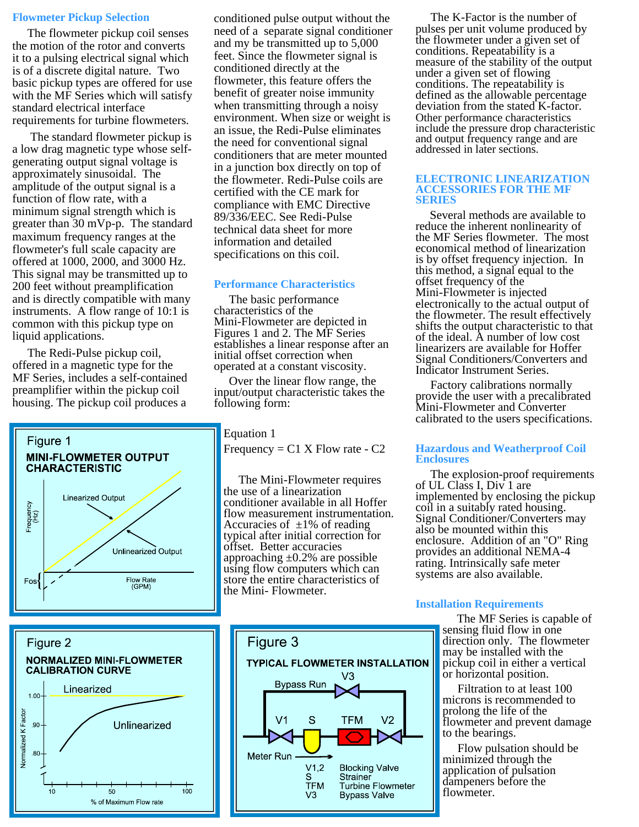#### **Flowmeter Pickup Selection**

 The flowmeter pickup coil senses the motion of the rotor and converts it to a pulsing electrical signal which is of a discrete digital nature. Two basic pickup types are offered for use with the MF Series which will satisfy standard electrical interface requirements for turbine flowmeters.

 The standard flowmeter pickup is a low drag magnetic type whose selfgenerating output signal voltage is approximately sinusoidal. The amplitude of the output signal is a function of flow rate, with a minimum signal strength which is greater than 30 mVp-p. The standard maximum frequency ranges at the flowmeter's full scale capacity are offered at 1000, 2000, and 3000 Hz. This signal may be transmitted up to 200 feet without preamplification and is directly compatible with many instruments. A flow range of 10:1 is common with this pickup type on liquid applications.

 The Redi-Pulse pickup coil, offered in a magnetic type for the MF Series, includes a self-contained preamplifier within the pickup coil housing. The pickup coil produces a





conditioned pulse output without the need of a separate signal conditioner and my be transmitted up to 5,000 feet. Since the flowmeter signal is conditioned directly at the flowmeter, this feature offers the benefit of greater noise immunity when transmitting through a noisy environment. When size or weight is an issue, the Redi-Pulse eliminates the need for conventional signal conditioners that are meter mounted in a junction box directly on top of the flowmeter. Redi-Pulse coils are certified with the CE mark for compliance with EMC Directive 89/336/EEC. See Redi-Pulse technical data sheet for more information and detailed specifications on this coil.

#### **Performance Characteristics**

 The basic performance characteristics of the Mini-Flowmeter are depicted in Figures 1 and 2. The MF Series establishes a linear response after an initial offset correction when operated at a constant viscosity.

 Over the linear flow range, the input/output characteristic takes the following form:

Equation 1

Frequency =  $C1$  X Flow rate -  $C2$ 

 The Mini-Flowmeter requires the use of a linearization conditioner available in all Hoffer flow measurement instrumentation. Accuracies of  $\pm 1\%$  of reading typical after initial correction for offset. Better accuracies approaching  $\pm 0.2$ % are possible using flow computers which can store the entire characteristics of the Mini- Flowmeter.



 The K-Factor is the number of pulses per unit volume produced by the flowmeter under a given set of conditions. Repeatability is a measure of the stability of the output under a given set of flowing conditions. The repeatability is defined as the allowable percentage deviation from the stated K-factor. Other performance characteristics include the pressure drop characteristic and output frequency range and are addressed in later sections.

#### **ELECTRONIC LINEARIZATION ACCESSORIES FOR THE MF SERIES**

 Several methods are available to reduce the inherent nonlinearity of the MF Series flowmeter. The most economical method of linearization is by offset frequency injection. In this method, a signal equal to the offset frequency of the Mini-Flowmeter is injected electronically to the actual output of the flowmeter. The result effectively shifts the output characteristic to that of the ideal. A number of low cost linearizers are available for Hoffer Signal Conditioners/Converters and Indicator Instrument Series.

 Factory calibrations normally provide the user with a precalibrated Mini-Flowmeter and Converter calibrated to the users specifications.

#### **Hazardous and Weatherproof Coil Enclosures**

 The explosion-proof requirements of UL Class I, Div 1 are implemented by enclosing the pickup coil in a suitably rated housing. Signal Conditioner/Converters may also be mounted within this enclosure. Addition of an "O" Ring provides an additional NEMA-4 rating. Intrinsically safe meter systems are also available.

#### **Installation Requirements**

 The MF Series is capable of sensing fluid flow in one direction only. The flowmeter may be installed with the pickup coil in either a vertical or horizontal position.

 Filtration to at least 100 microns is recommended to prolong the life of the flowmeter and prevent damage to the bearings.

 Flow pulsation should be minimized through the application of pulsation dampeners before the flowmeter.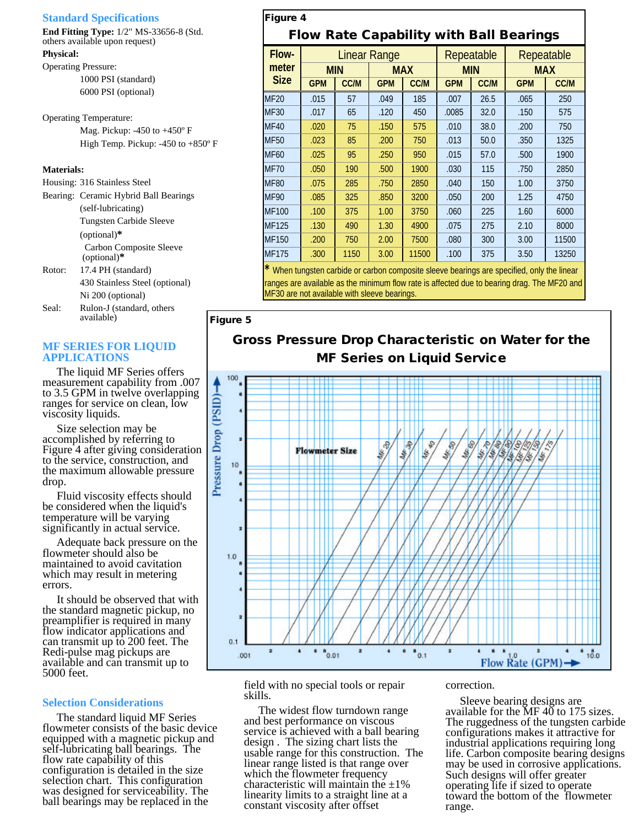#### **Standard Specifications**

**End Fitting Type:** 1/2" MS-33656-8 (Std. others available upon request)

#### **Physical:**

Operating Pressure: 1000 PSI (standard) 6000 PSI (optional)

Operating Temperature: Mag. Pickup: -450 to +450° F High Temp. Pickup: -450 to +850º F

#### **Materials:**

|        | Housing: 316 Stainless Steel                    |
|--------|-------------------------------------------------|
|        | Bearing: Ceramic Hybrid Ball Bearings           |
|        | (self-lubricating)                              |
|        | Tungsten Carbide Sleeve                         |
|        | $(optional)*$                                   |
|        | <b>Carbon Composite Sleeve</b><br>$(optional)*$ |
| Rotor: | 17.4 PH (standard)                              |
|        | 430 Stainless Steel (optional)                  |
|        | Ni 200 (optional)                               |
| Seal:  | Rulon-J (standard, others                       |

#### **MF SERIES FOR LIQUID APPLICATIONS**

available)

 The liquid MF Series offers measurement capability from .007 to 3.5 GPM in twelve overlapping ranges for service on clean, low viscosity liquids.

 Size selection may be accomplished by referring to Figure 4 after giving consideration to the service, construction, and the maximum allowable pressure drop.

 Fluid viscosity effects should be considered when the liquid's temperature will be varying significantly in actual service.

 Adequate back pressure on the flowmeter should also be maintained to avoid cavitation which may result in metering errors.

 It should be observed that with the standard magnetic pickup, no preamplifier is required in many flow indicator applications and can transmit up to 200 feet. The Redi-pulse mag pickups are available and can transmit up to 5000 feet.

#### **Selection Considerations**

 The standard liquid MF Series flowmeter consists of the basic device equipped with a magnetic pickup and self-lubricating ball bearings. The flow rate capability of this configuration is detailed in the size selection chart. This configuration was designed for serviceability. The ball bearings may be replaced in the

# *Figure 4 Flow Rate Capability with Ball Bearings*

| Flow-                | <b>Linear Range</b>                                                                        |             |            |             | Repeatable |             | Repeatable |             |  |
|----------------------|--------------------------------------------------------------------------------------------|-------------|------------|-------------|------------|-------------|------------|-------------|--|
| meter<br><b>Size</b> | <b>MIN</b>                                                                                 |             | <b>MAX</b> |             | <b>MIN</b> |             | <b>MAX</b> |             |  |
|                      | <b>GPM</b>                                                                                 | <b>CC/M</b> | <b>GPM</b> | <b>CC/M</b> | <b>GPM</b> | <b>CC/M</b> | <b>GPM</b> | <b>CC/M</b> |  |
| <b>MF20</b>          | .015                                                                                       | 57          | .049       | 185         | .007       | 26.5        | .065       | 250         |  |
| <b>MF30</b>          | .017                                                                                       | 65          | .120       | 450         | .0085      | 32.0        | .150       | 575         |  |
| <b>MF40</b>          | .020                                                                                       | 75          | .150       | 575         | .010       | 38.0        | .200       | 750         |  |
| <b>MF50</b>          | .023                                                                                       | 85          | .200       | 750         | .013       | 50.0        | .350       | 1325        |  |
| <b>MF60</b>          | .025                                                                                       | 95          | .250       | 950         | .015       | 57.0        | .500       | 1900        |  |
| <b>MF70</b>          | .050                                                                                       | 190         | .500       | 1900        | .030       | 115         | .750       | 2850        |  |
| <b>MF80</b>          | .075                                                                                       | 285         | .750       | 2850        | .040       | 150         | 1.00       | 3750        |  |
| <b>MF90</b>          | .085                                                                                       | 325         | .850       | 3200        | .050       | 200         | 1.25       | 4750        |  |
| <b>MF100</b>         | .100                                                                                       | 375         | 1.00       | 3750        | .060       | 225         | 1.60       | 6000        |  |
| MF125                | .130                                                                                       | 490         | 1.30       | 4900        | .075       | 275         | 2.10       | 8000        |  |
| MF150                | .200                                                                                       | 750         | 2.00       | 7500        | .080       | 300         | 3.00       | 11500       |  |
| <b>MF175</b>         | .300                                                                                       | 1150        | 3.00       | 11500       | .100       | 375         | 3.50       | 13250       |  |
|                      | * When tungsten carbide or carbon composite sleeve bearings are specified, only the linear |             |            |             |            |             |            |             |  |

 $\rm e$  or carbon composite sleeve bearings are spe ranges are available as the minimum flow rate is affected due to bearing drag. The MF20 and MF30 are not available with sleeve bearings.

#### *Figure 5*

# *Gross Pressure Drop Characteristic on Water for the MF Series on Liquid Service*



field with no special tools or repair skills.

 The widest flow turndown range and best performance on viscous service is achieved with a ball bearing design . The sizing chart lists the usable range for this construction. The linear range listed is that range over which the flowmeter frequency characteristic will maintain the  $\pm 1\%$ linearity limits to a straight line at a constant viscosity after offset

#### correction.

 Sleeve bearing designs are available for the  $\overline{MF}$  40 to 175 sizes. The ruggedness of the tungsten carbide configurations makes it attractive for industrial applications requiring long life. Carbon composite bearing designs may be used in corrosive applications. Such designs will offer greater operating life if sized to operate toward the bottom of the flowmeter range.